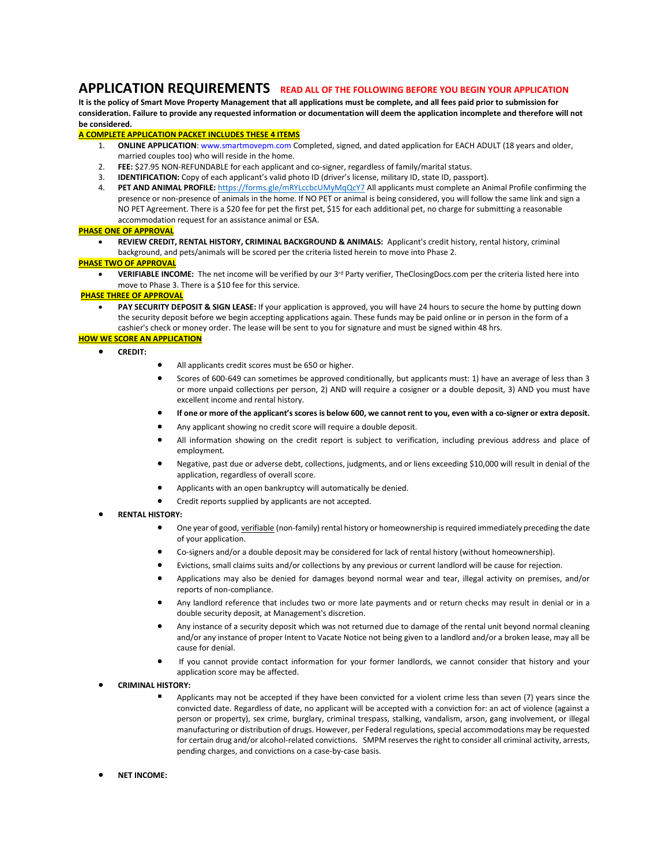# **APPLICATION REQUIREMENTS READ ALL OF THE FOLLOWING BEFORE YOU BEGIN YOUR APPLICATION**

**It is the policy of Smart Move Property Management that all applications must be complete, and all fees paid prior to submission for consideration. Failure to provide any requested information or documentation will deem the application incomplete and therefore will not be considered.**

# **A COMPLETE APPLICATION PACKET INCLUDES THESE 4 ITEMS**

- 1. **ONLINE APPLICATION**: www.smartmovepm.com Completed, signed, and dated application for EACH ADULT (18 years and older, married couples too) who will reside in the home.
- 2. **FEE:** \$27.95 NON-REFUNDABLE for each applicant and co-signer, regardless of family/marital status.
- 3. **IDENTIFICATION:** Copy of each applicant's valid photo ID (driver's license, military ID, state ID, passport).
- 4. **PET AND ANIMAL PROFILE:** <https://forms.gle/mRYLccbcUMyMqQcY7> All applicants must complete an Animal Profile confirming the presence or non-presence of animals in the home. If NO PET or animal is being considered, you will follow the same link and sign a NO PET Agreement. There is a \$20 fee for pet the first pet, \$15 for each additional pet, no charge for submitting a reasonable accommodation request for an assistance animal or ESA.

# **PHASE ONE OF APPROVAL**

• **REVIEW CREDIT, RENTAL HISTORY, CRIMINAL BACKGROUND & ANIMALS:** Applicant's credit history, rental history, criminal background, and pets/animals will be scored per the criteria listed herein to move into Phase 2.

### **PHASE TWO OF APPROVAL**

• **VERIFIABLE INCOME:** The net income will be verified by our 3rd Party verifier, TheClosingDocs.com per the criteria listed here into move to Phase 3. There is a \$10 fee for this service.

# **PHASE THREE OF APPROVAL**

• **PAY SECURITY DEPOSIT & SIGN LEASE:** If your application is approved, you will have 24 hours to secure the home by putting down the security deposit before we begin accepting applications again. These funds may be paid online or in person in the form of a cashier's check or money order. The lease will be sent to you for signature and must be signed within 48 hrs.

# **HOW WE SCORE AN APPLICATION**

- **CREDIT:**
- All applicants credit scores must be 650 or higher.
- Scores of 600-649 can sometimes be approved conditionally, but applicants must: 1) have an average of less than 3 or more unpaid collections per person, 2) AND will require a cosigner or a double deposit, 3) AND you must have excellent income and rental history.
- **If one or more of the applicant's scores is below 600, we cannot rent to you, even with a co-signer or extra deposit.**
- Any applicant showing no credit score will require a double deposit.
- All information showing on the credit report is subject to verification, including previous address and place of employment.
- Negative, past due or adverse debt, collections, judgments, and or liens exceeding \$10,000 will result in denial of the application, regardless of overall score.
- Applicants with an open bankruptcy will automatically be denied.
- Credit reports supplied by applicants are not accepted.
- **RENTAL HISTORY:**
	- One year of good, verifiable (non-family) rental history or homeownership is required immediately preceding the date of your application.
	- Co-signers and/or a double deposit may be considered for lack of rental history (without homeownership).
	- Evictions, small claims suits and/or collections by any previous or current landlord will be cause for rejection.
	- Applications may also be denied for damages beyond normal wear and tear, illegal activity on premises, and/or reports of non-compliance.
	- Any landlord reference that includes two or more late payments and or return checks may result in denial or in a double security deposit, at Management's discretion.
	- Any instance of a security deposit which was not returned due to damage of the rental unit beyond normal cleaning and/or any instance of proper Intent to Vacate Notice not being given to a landlord and/or a broken lease, may all be cause for denial.
	- If you cannot provide contact information for your former landlords, we cannot consider that history and your application score may be affected.
- **CRIMINAL HISTORY:**
	- Applicants may not be accepted if they have been convicted for a violent crime less than seven (7) years since the convicted date. Regardless of date, no applicant will be accepted with a conviction for: an act of violence (against a person or property), sex crime, burglary, criminal trespass, stalking, vandalism, arson, gang involvement, or illegal manufacturing or distribution of drugs. However, per Federal regulations, special accommodations may be requested for certain drug and/or alcohol-related convictions. SMPM reserves the right to consider all criminal activity, arrests, pending charges, and convictions on a case-by-case basis.
- **NET INCOME:**